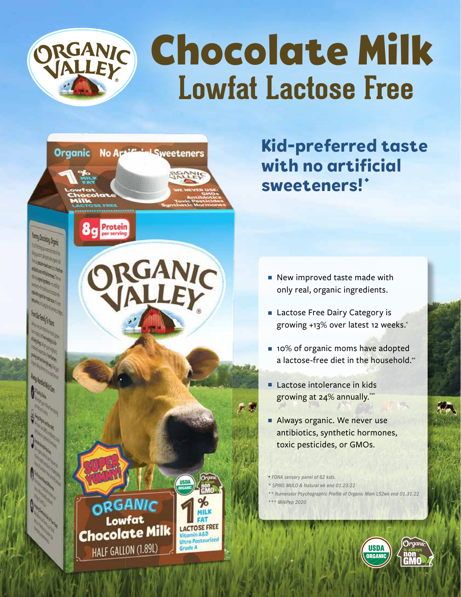



**Kid-preferred taste with no artificial**  sweeteners!'

- $\blacksquare$  New improved taste made with only real, organic ingredients.
- Lactose Free Dairy Category is growing +13% over latest 12 weeks.\*
- **n** 10% of organic moms have adopted a lactose-free diet in the household.\*\*
- $\blacksquare$  Lactose intolerance in kids growing at 24% annually.<sup>\*\*</sup>
- Always organic. We never use antibiotics, synthetic hormones, toxic pesticides, or GMOs.
- <sup>u</sup> *FONA sensory panel of 62 kids.*
- *\* SPINS MULO & Natural wk end 01.23.22*
- *\*\* Numerator Psychographic Profile of Organic Mom L52wk end 01.31.22*
- *\*\*\* MilkPep 2020*